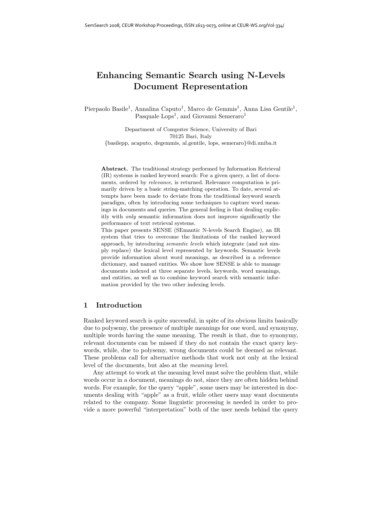# **Enhancing Semantic Search using N-Levels Document Representation**

Pierpaolo Basile<sup>1</sup>, Annalina Caputo<sup>1</sup>, Marco de Gemmis<sup>1</sup>, Anna Lisa Gentile<sup>1</sup>, Pasquale  $\text{Lops}^1$ , and Giovanni Semeraro<sup>1</sup>

Department of Computer Science, University of Bari 70125 Bari, Italy {basilepp, acaputo, degemmis, al.gentile, lops, semeraro}@di.uniba.it

**Abstract.** The traditional strategy performed by Information Retrieval (IR) systems is ranked keyword search: For a given query, a list of documents, ordered by *relevance*, is returned. Relevance computation is primarily driven by a basic string-matching operation. To date, several attempts have been made to deviate from the traditional keyword search paradigm, often by introducing some techniques to capture word meanings in documents and queries. The general feeling is that dealing explicitly with *only* semantic information does not improve significantly the performance of text retrieval systems.

This paper presents SENSE (SEmantic N-levels Search Engine), an IR system that tries to overcome the limitations of the ranked keyword approach, by introducing *semantic levels* which integrate (and not simply replace) the lexical level represented by keywords. Semantic levels provide information about word meanings, as described in a reference dictionary, and named entities. We show how SENSE is able to manage documents indexed at three separate levels, keywords, word meanings, and entities, as well as to combine keyword search with semantic information provided by the two other indexing levels.

#### **1 Introduction**

Ranked keyword search is quite successful, in spite of its obvious limits basically due to polysemy, the presence of multiple meanings for one word, and synonymy, multiple words having the same meaning. The result is that, due to synonymy, relevant documents can be missed if they do not contain the exact query keywords, while, due to polysemy, wrong documents could be deemed as relevant. These problems call for alternative methods that work not only at the lexical level of the documents, but also at the *meaning* level.

Any attempt to work at the meaning level must solve the problem that, while words occur in a document, meanings do not, since they are often hidden behind words. For example, for the query "apple", some users may be interested in documents dealing with "apple" as a fruit, while other users may want documents related to the company. Some linguistic processing is needed in order to provide a more powerful "interpretation" both of the user needs behind the query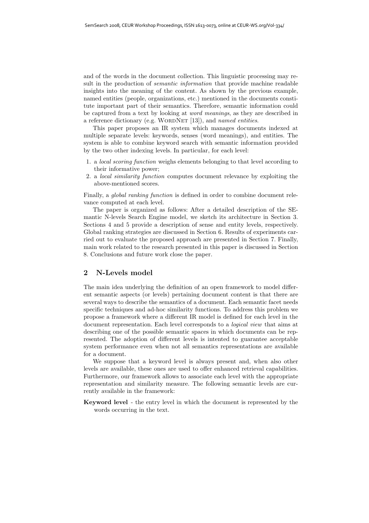and of the words in the document collection. This linguistic processing may result in the production of *semantic information* that provide machine readable insights into the meaning of the content. As shown by the previous example, named entities (people, organizations, etc.) mentioned in the documents constitute important part of their semantics. Therefore, semantic information could be captured from a text by looking at *word meanings*, as they are described in a reference dictionary (e.g. WORDNET [13]), and *named entities*.

This paper proposes an IR system which manages documents indexed at multiple separate levels: keywords, senses (word meanings), and entities. The system is able to combine keyword search with semantic information provided by the two other indexing levels. In particular, for each level:

- 1. a *local scoring function* weighs elements belonging to that level according to their informative power;
- 2. a *local similarity function* computes document relevance by exploiting the above-mentioned scores.

Finally, a *global ranking function* is defined in order to combine document relevance computed at each level.

The paper is organized as follows: After a detailed description of the SEmantic N-levels Search Engine model, we sketch its architecture in Section 3. Sections 4 and 5 provide a description of sense and entity levels, respectively. Global ranking strategies are discussed in Section 6. Results of experiments carried out to evaluate the proposed approach are presented in Section 7. Finally, main work related to the research presented in this paper is discussed in Section 8. Conclusions and future work close the paper.

### **2 N-Levels model**

The main idea underlying the definition of an open framework to model different semantic aspects (or levels) pertaining document content is that there are several ways to describe the semantics of a document. Each semantic facet needs specific techniques and ad-hoc similarity functions. To address this problem we propose a framework where a different IR model is defined for each level in the document representation. Each level corresponds to a *logical view* that aims at describing one of the possible semantic spaces in which documents can be represented. The adoption of different levels is intented to guarantee acceptable system performance even when not all semantics representations are available for a document.

We suppose that a keyword level is always present and, when also other levels are available, these ones are used to offer enhanced retrieval capabilities. Furthermore, our framework allows to associate each level with the appropriate representation and similarity measure. The following semantic levels are currently available in the framework:

**Keyword level** - the entry level in which the document is represented by the words occurring in the text.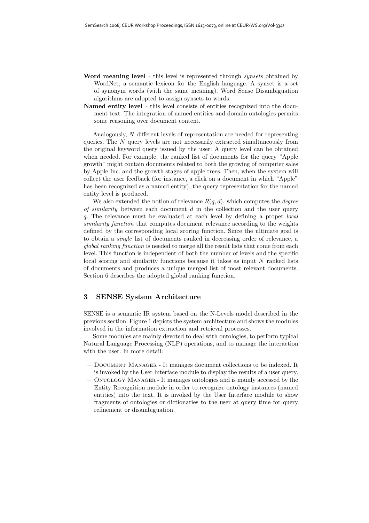- **Word meaning level** this level is represented through *synsets* obtained by WordNet, a semantic lexicon for the English language. A synset is a set of synonym words (with the same meaning). Word Sense Disambiguation algorithms are adopted to assign synsets to words.
- **Named entity level** this level consists of entities recognized into the document text. The integration of named entities and domain ontologies permits some reasoning over document content.

Analogously, N different levels of representation are needed for representing queries. The N query levels are not necessarily extracted simultaneously from the original keyword query issued by the user: A query level can be obtained when needed. For example, the ranked list of documents for the query "Apple growth" might contain documents related to both the growing of computer sales by Apple Inc. and the growth stages of apple trees. Then, when the system will collect the user feedback (for instance, a click on a document in which "Apple" has been recognized as a named entity), the query representation for the named entity level is produced.

We also extended the notion of relevance  $R(q, d)$ , which computes the *degree of similarity* between each document d in the collection and the user query q. The relevance must be evaluated at each level by defining a proper *local similarity function* that computes document relevance according to the weights defined by the corresponding local scoring function. Since the ultimate goal is to obtain a *single* list of documents ranked in decreasing order of relevance, a *global ranking function* is needed to merge all the result lists that come from each level. This function is independent of both the number of levels and the specific local scoring and similarity functions because it takes as input N ranked lists of documents and produces a unique merged list of most relevant documents. Section 6 describes the adopted global ranking function.

# **3 SENSE System Architecture**

SENSE is a semantic IR system based on the N-Levels model described in the previous section. Figure 1 depicts the system architecture and shows the modules involved in the information extraction and retrieval processes.

Some modules are mainly devoted to deal with ontologies, to perform typical Natural Language Processing (NLP) operations, and to manage the interaction with the user. In more detail:

- **–** Document Manager It manages document collections to be indexed. It is invoked by the User Interface module to display the results of a user query.
- **–** Ontology Manager It manages ontologies and is mainly accessed by the Entity Recognition module in order to recognize ontology instances (named entities) into the text. It is invoked by the User Interface module to show fragments of ontologies or dictionaries to the user at query time for query refinement or disambiguation.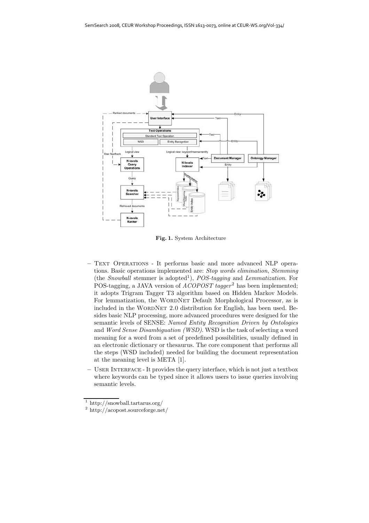

**Fig. 1.** System Architecture

- **–** Text Operations It performs basic and more advanced NLP operations. Basic operations implemented are: *Stop words elimination*, *Stemming* (the *Snowball* stemmer is adopted<sup>1</sup>), *POS-tagging* and *Lemmatization*. For POS-tagging, a JAVA version of *ACOPOST tagger*<sup>2</sup> has been implemented; it adopts Trigram Tagger T3 algorithm based on Hidden Markov Models. For lemmatization, the WORDNET Default Morphological Processor, as is included in the WORDNET 2.0 distribution for English, has been used. Besides basic NLP processing, more advanced procedures were designed for the semantic levels of SENSE: *Named Entity Recognition Driven by Ontologies* and *Word Sense Disambiguation (WSD)*. WSD is the task of selecting a word meaning for a word from a set of predefined possibilities, usually defined in an electronic dictionary or thesaurus. The core component that performs all the steps (WSD included) needed for building the document representation at the meaning level is META [1].
- USER INTERFACE It provides the query interface, which is not just a textbox where keywords can be typed since it allows users to issue queries involving semantic levels.

<sup>1</sup> http://snowball.tartarus.org/

<sup>2</sup> http://acopost.sourceforge.net/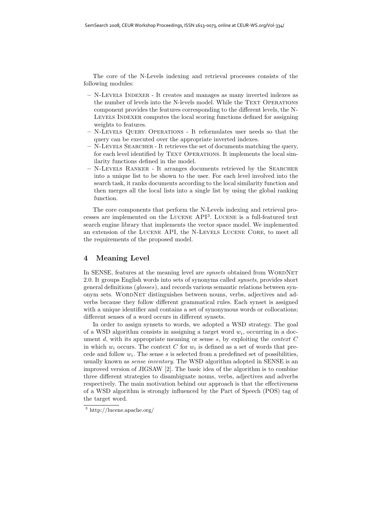The core of the N-Levels indexing and retrieval processes consists of the following modules:

- **–** N-Levels Indexer It creates and manages as many inverted indexes as the number of levels into the N-levels model. While the TEXT OPERATIONS component provides the features corresponding to the different levels, the N-LEVELS INDEXER computes the local scoring functions defined for assigning weights to features.
- **–** N-Levels Query Operations It reformulates user needs so that the query can be executed over the appropriate inverted indexes.
- **–** N-Levels Searcher It retrieves the set of documents matching the query, for each level identified by TEXT OPERATIONS. It implements the local similarity functions defined in the model.
- **–** N-Levels Ranker It arranges documents retrieved by the Searcher into a unique list to be shown to the user. For each level involved into the search task, it ranks documents according to the local similarity function and then merges all the local lists into a single list by using the global ranking function.

The core components that perform the N-Levels indexing and retrieval processes are implemented on the Lucene API<sup>3</sup>. Lucene is a full-featured text search engine library that implements the vector space model. We implemented an extension of the Lucene API, the N-Levels Lucene Core, to meet all the requirements of the proposed model.

## **4 Meaning Level**

In SENSE, features at the meaning level are *synsets* obtained from WORDNET 2.0. It groups English words into sets of synonyms called *synsets*, provides short general definitions (*glosses*), and records various semantic relations between synonym sets. WordNet distinguishes between nouns, verbs, adjectives and adverbs because they follow different grammatical rules. Each synset is assigned with a unique identifier and contains a set of synonymous words or collocations; different senses of a word occurs in different synsets.

In order to assign synsets to words, we adopted a WSD strategy. The goal of a WSD algorithm consists in assigning a target word  $w_i$ , occurring in a document d, with its appropriate meaning or sense s, by exploiting the *context* C in which  $w_i$  occurs. The context C for  $w_i$  is defined as a set of words that precede and follow  $w_i$ . The sense s is selected from a predefined set of possibilities, usually known as *sense inventory*. The WSD algorithm adopted in SENSE is an improved version of JIGSAW [2]. The basic idea of the algorithm is to combine three different strategies to disambiguate nouns, verbs, adjectives and adverbs respectively. The main motivation behind our approach is that the effectiveness of a WSD algorithm is strongly influenced by the Part of Speech (POS) tag of the target word.

<sup>3</sup> http://lucene.apache.org/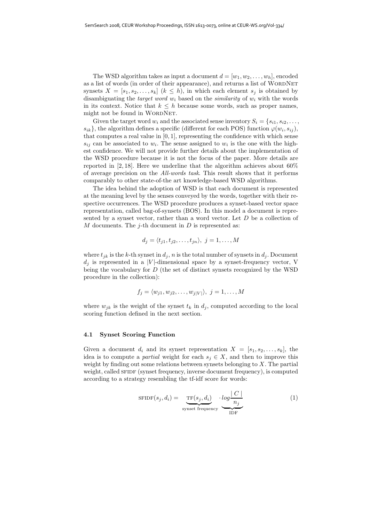The WSD algorithm takes as input a document  $d = [w_1, w_2, \ldots, w_h]$ , encoded as a list of words (in order of their appearance), and returns a list of WORDNET synsets  $X = [s_1, s_2, \ldots, s_k]$   $(k \leq h)$ , in which each element  $s_i$  is obtained by disambiguating the *target word*  $w_i$  based on the *similarity* of  $w_i$  with the words in its context. Notice that  $k \leq h$  because some words, such as proper names, might not be found in WORDNET.

Given the target word  $w_i$  and the associated sense inventory  $S_i = \{s_{i1}, s_{i2}, \ldots, s_{iL}\}$  $s_{ik}$ , the algorithm defines a specific (different for each POS) function  $\varphi(w_i, s_{ii})$ , that computes a real value in  $[0, 1]$ , representing the confidence with which sense  $s_{ij}$  can be associated to  $w_i$ . The sense assigned to  $w_i$  is the one with the highest confidence. We will not provide further details about the implementation of the WSD procedure because it is not the focus of the paper. More details are reported in [2, 18]. Here we underline that the algorithm achieves about  $60\%$ of average precision on the *All-words task*. This result shows that it performs comparably to other state-of-the art knowledge-based WSD algorithms.

The idea behind the adoption of WSD is that each document is represented at the meaning level by the senses conveyed by the words, together with their respective occurrences. The WSD procedure produces a synset-based vector space representation, called bag-of-synsets (BOS). In this model a document is represented by a synset vector, rather than a word vector. Let D be a collection of M documents. The j-th document in  $D$  is represented as:

$$
d_j = \langle t_{j1}, t_{j2}, \dots, t_{jn} \rangle, \ j = 1, \dots, M
$$

where  $t_{ik}$  is the k-th synset in  $d_i$ , n is the total number of synsets in  $d_i$ . Document  $d_j$  is represented in a |V|-dimensional space by a synset-frequency vector, V being the vocabulary for D (the set of distinct synsets recognized by the WSD procedure in the collection):

$$
f_j = \langle w_{j1}, w_{j2}, \dots, w_{j|V|} \rangle, \ j = 1, \dots, M
$$

where  $w_{jk}$  is the weight of the synset  $t_k$  in  $d_j$ , computed according to the local scoring function defined in the next section.

#### **4.1 Synset Scoring Function**

Given a document  $d_i$  and its synset representation  $X = [s_1, s_2, \ldots, s_k]$ , the idea is to compute a *partial* weight for each  $s_i \in X$ , and then to improve this weight by finding out some relations between synsets belonging to  $X$ . The partial weight, called SFIDF (synset frequency, inverse document frequency), is computed according to a strategy resembling the tf-idf score for words:

$$
SFIDF(s_j, d_i) = \underbrace{TF(s_j, d_i)}_{\text{synset frequency}} \cdot \underbrace{log \frac{|C|}{n_j}}_{\text{IDF}}
$$
(1)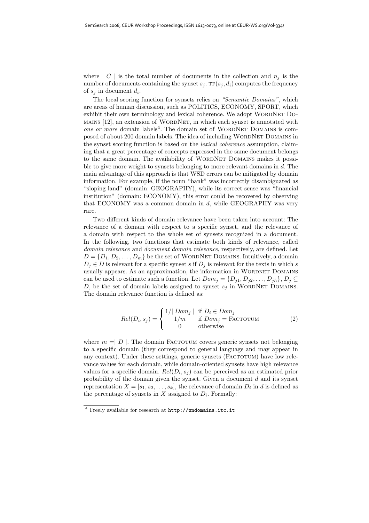where  $\mid C \mid$  is the total number of documents in the collection and  $n_j$  is the number of documents containing the synset  $s_i$ . TF $(s_i, d_i)$  computes the frequency of  $s_i$  in document  $d_i$ .

The local scoring function for synsets relies on *"Semantic Domains"*, which are areas of human discussion, such as POLITICS, ECONOMY, SPORT, which exhibit their own terminology and lexical coherence. We adopt WORDNET Do- $M$ AINS [12], an extension of WORDNET, in which each synset is annotated with *one or more* domain labels<sup>4</sup>. The domain set of WORDNET DOMAINS is composed of about 200 domain labels. The idea of including WORDNET DOMAINS in the synset scoring function is based on the *lexical coherence* assumption, claiming that a great percentage of concepts expressed in the same document belongs to the same domain. The availability of WORDNET DOMAINS makes it possible to give more weight to synsets belonging to more relevant domains in d. The main advantage of this approach is that WSD errors can be mitigated by domain information. For example, if the noun "bank" was incorrectly disambiguated as "sloping land" (domain: GEOGRAPHY), while its correct sense was "financial institution" (domain: ECONOMY), this error could be recovered by observing that ECONOMY was a common domain in d, while GEOGRAPHY was very rare.

Two different kinds of domain relevance have been taken into account: The relevance of a domain with respect to a specific synset, and the relevance of a domain with respect to the whole set of synsets recognized in a document. In the following, two functions that estimate both kinds of relevance, called *domain relevance* and *document domain relevance*, respectively, are defined. Let  $D = \{D_1, D_2, \ldots, D_m\}$  be the set of WORDNET DOMAINS. Intuitively, a domain  $D_j \in D$  is relevant for a specific synset s if  $D_j$  is relevant for the texts in which s usually appears. As an approximation, the information in WORDNET DOMAINS can be used to estimate such a function. Let  $Dom_j = \{D_{j1}, D_{j2}, \ldots, D_{jh}\}, D_j \subseteq$ D, be the set of domain labels assigned to synset  $s_j$  in WORDNET DOMAINS. The domain relevance function is defined as:

$$
Rel(D_i, s_j) = \begin{cases} 1/|\text{ Dom}_j| & \text{if } D_i \in Dom_j \\ 1/m & \text{if } Dom_j = \text{FACTOTUM} \\ 0 & \text{otherwise} \end{cases}
$$
(2)

where  $m = | D |$ . The domain FACTOTUM covers generic synsets not belonging to a specific domain (they correspond to general language and may appear in any context). Under these settings, generic synsets (FACTOTUM) have low relevance values for each domain, while domain-oriented synsets have high relevance values for a specific domain.  $Rel(D_i, s_i)$  can be perceived as an estimated prior probability of the domain given the synset. Given a document  $d$  and its synset representation  $X = [s_1, s_2, \ldots, s_k]$ , the relevance of domain  $D_i$  in d is defined as the percentage of synsets in  $X$  assigned to  $D_i$ . Formally:

<sup>4</sup> Freely available for research at http://wndomains.itc.it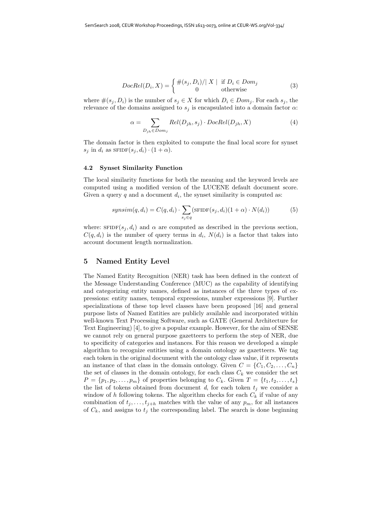$$
DocRel(D_i, X) = \begin{cases} \#(s_j, D_i) / |X| & \text{if } D_i \in Dom_j \\ 0 & \text{otherwise} \end{cases}
$$
 (3)

where  $\#(s_i, D_i)$  is the number of  $s_j \in X$  for which  $D_i \in Dom_j$ . For each  $s_j$ , the relevance of the domains assigned to  $s_j$  is encapsulated into a domain factor  $\alpha$ :

$$
\alpha = \sum_{D_{jh} \in Dom_j} Rel(D_{jh}, s_j) \cdot DocRel(D_{jh}, X)
$$
\n(4)

The domain factor is then exploited to compute the final local score for synset  $s_j$  in  $d_i$  as  $SFIDF(s_j, d_i) \cdot (1 + \alpha)$ .

#### **4.2 Synset Similarity Function**

The local similarity functions for both the meaning and the keyword levels are computed using a modified version of the LUCENE default document score. Given a query q and a document  $d_i$ , the synset similarity is computed as:

$$
synsim(q, d_i) = C(q, d_i) \cdot \sum_{s_j \in q} (\text{SFIDF}(s_j, d_i) (1 + \alpha) \cdot N(d_i)) \tag{5}
$$

where:  $SFIDF(s_i, d_i)$  and  $\alpha$  are computed as described in the previous section,  $C(q, d_i)$  is the number of query terms in  $d_i$ ,  $N(d_i)$  is a factor that takes into account document length normalization.

#### **5 Named Entity Level**

The Named Entity Recognition (NER) task has been defined in the context of the Message Understanding Conference (MUC) as the capability of identifying and categorizing entity names, defined as instances of the three types of expressions: entity names, temporal expressions, number expressions [9]. Further specializations of these top level classes have been proposed [16] and general purpose lists of Named Entities are publicly available and incorporated within well-known Text Processing Software, such as GATE (General Architecture for Text Engineering) [4], to give a popular example. However, for the aim of SENSE we cannot rely on general purpose gazetteers to perform the step of NER, due to specificity of categories and instances. For this reason we developed a simple algorithm to recognize entities using a domain ontology as gazetteers. We tag each token in the original document with the ontology class value, if it represents an instance of that class in the domain ontology. Given  $C = \{C_1, C_2, \ldots, C_n\}$ the set of classes in the domain ontology, for each class  $C_k$  we consider the set  $P = \{p_1, p_2, \ldots, p_m\}$  of properties belonging to  $C_k$ . Given  $T = \{t_1, t_2, \ldots, t_s\}$ the list of tokens obtained from document  $d$ , for each token  $t_j$  we consider a window of h following tokens. The algorithm checks for each  $C_k$  if value of any combination of  $t_j, \ldots, t_{j+h}$  matches with the value of any  $p_m$ , for all instances of  $C_k$ , and assigns to  $t_j$  the corresponding label. The search is done beginning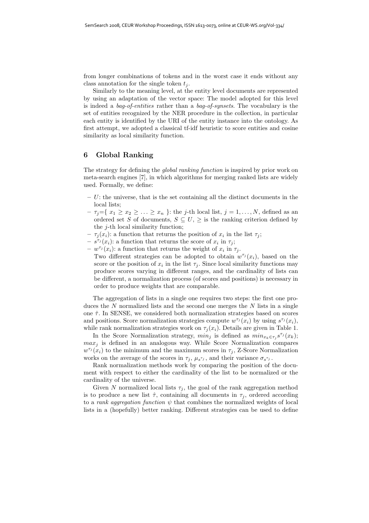from longer combinations of tokens and in the worst case it ends without any class annotation for the single token  $t_i$ .

Similarly to the meaning level, at the entity level documents are represented by using an adaptation of the vector space: The model adopted for this level is indeed a *bag-of-entities* rather than a *bag-of-synsets*. The vocabulary is the set of entities recognized by the NER procedure in the collection, in particular each entity is identified by the URI of the entity instance into the ontology. As first attempt, we adopted a classical tf-idf heuristic to score entities and cosine similarity as local similarity function.

# **6 Global Ranking**

The strategy for defining the *global ranking function* is inspired by prior work on meta-search engines [7], in which algorithms for merging ranked lists are widely used. Formally, we define:

- **–** U: the universe, that is the set containing all the distinct documents in the local lists;
- $-\tau_i=\{x_1\geq x_2\geq \ldots \geq x_n\}$ : the *j*-th local list,  $j=1,\ldots,N$ , defined as an ordered set S of documents,  $S \subseteq U$ ,  $\geq$  is the ranking criterion defined by the  $j$ -th local similarity function;
- $-\tau_i(x_i)$ : a function that returns the position of  $x_i$  in the list  $\tau_i$ ;
- $s^{\tau_j}(x_i)$ : a function that returns the score of  $x_i$  in  $\tau_j$ ;
- $w^{\tau_j}(x_i)$ : a function that returns the weight of  $x_i$  in  $\tau_j$ .
- Two different strategies can be adopted to obtain  $w^{\tau_j}(x_i)$ , based on the score or the position of  $x_i$  in the list  $\tau_i$ . Since local similarity functions may produce scores varying in different ranges, and the cardinality of lists can be different, a normalization process (of scores and positions) is necessary in order to produce weights that are comparable.

The aggregation of lists in a single one requires two steps: the first one produces the  $N$  normalized lists and the second one merges the  $N$  lists in a single one  $\hat{\tau}$ . In SENSE, we considered both normalization strategies based on scores and positions. Score normalization strategies compute  $w^{\tau_j}(x_i)$  by using  $s^{\tau_j}(x_i)$ , while rank normalization strategies work on  $\tau_j(x_i)$ . Details are given in Table 1.

In the Score Normalization strategy,  $min_j$  is defined as  $min_{x_k \in \tau_j} s^{\tau_j}(x_k);$  $max<sub>j</sub>$  is defined in an analogous way. While Score Normalization compares  $w^{\tau_j}(x_i)$  to the minimum and the maximum scores in  $\tau_j$ , Z-Score Normalization works on the average of the scores in  $\tau_j$ ,  $\mu_s \tau_j$ , and their variance  $\sigma_s \tau_j$ .

Rank normalization methods work by comparing the position of the document with respect to either the cardinality of the list to be normalized or the cardinality of the universe.

Given N normalized local lists  $\tau_j$ , the goal of the rank aggregation method is to produce a new list  $\hat{\tau}$ , containing all documents in  $\tau_j$ , ordered according to a *rank aggregation function*  $\psi$  that combines the normalized weights of local lists in a (hopefully) better ranking. Different strategies can be used to define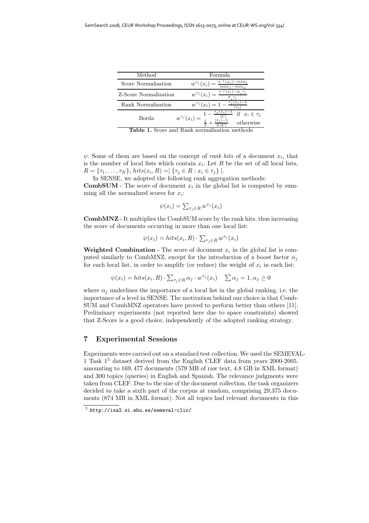| Method                | Formula                                                                                          |  |
|-----------------------|--------------------------------------------------------------------------------------------------|--|
| Score Normalization   | $-min_i$<br>$s^{\prime}$ $(x_i)$<br>$w^{\tau_j}(x_i) =$<br>$\overline{max}_i - \overline{min}_i$ |  |
| Z-Score Normalization | $s^{\prime\prime}(x_i)$<br>$-\mu_{s}\tau_{j}$<br>$w^{\tau_j}(x_i)=$                              |  |
| Rank Normalization    | $w^{\tau_j}(x_i) = 1 - \frac{\tau_j(x_i)}{n}$                                                    |  |
| Borda                 | if $x_i \in \tau_j$<br>$w^{\tau_j}(x_i) =$<br>$ \tau_j $<br>otherwise                            |  |
| ⌒<br>m                | ٠.<br>$\cdot$ 1<br>$\sqrt{ }$                                                                    |  |

**Table 1.** Score and Rank normalization methods

 $\psi$ . Some of them are based on the concept of *rank hits* of a document  $x_i$ , that is the number of local lists which contain  $x_i$ . Let R be the set of all local lists,  $R = {\tau_1, ..., \tau_N}$ , hits $(x_i, R) = |\{\tau_j \in R : x_i \in \tau_j\}|$ .

In SENSE, we adopted the following rank aggregation methods:

**CombSUM** - The score of document  $x_i$  in the global list is computed by summing all the normalized scores for  $x_i$ :

$$
\psi(x_i) = \sum_{\tau_j \in R} w^{\tau_j}(x_i)
$$

**CombMNZ** - It multiplies the CombSUM score by the rank hits, thus increasing the score of documents occurring in more than one local list:

$$
\psi(x_i) = hits(x_i, R) \cdot \sum_{\tau_j \in R} w^{\tau_j}(x_i)
$$

**Weighted Combination** - The score of document  $x_i$  in the global list is computed similarly to CombMNZ, except for the introduction of a boost factor  $\alpha_i$ for each local list, in order to amplify (or reduce) the weight of  $x_i$  in each list:

$$
\psi(x_i) = hits(x_i, R) \cdot \sum_{\tau_j \in R} \alpha_j \cdot w^{\tau_j}(x_i) \quad \sum \alpha_j = 1, \alpha_j \ge 0
$$

where  $\alpha_i$  underlines the importance of a local list in the global ranking, i.e. the importance of a level in SENSE. The motivation behind our choice is that Comb-SUM and CombMNZ operators have proved to perform better than others [11]. Preliminary experiments (not reported here due to space constraints) showed that Z-Score is a good choice, independently of the adopted ranking strategy.

### **7 Experimental Sessions**

Experiments were carried out on a standard test collection. We used the SEMEVAL-1 Task 1<sup>5</sup> dataset derived from the English CLEF data from years 2000-2005, amounting to 169, 477 documents (579 MB of raw text, 4.8 GB in XML format) and 300 topics (queries) in English and Spanish. The relevance judgments were taken from CLEF. Due to the size of the document collection, the task organizers decided to take a sixth part of the corpus at random, comprising 29,375 documents (874 MB in XML format). Not all topics had relevant documents in this

 $5$  http://ixa2.si.ehu.es/semeval-clir/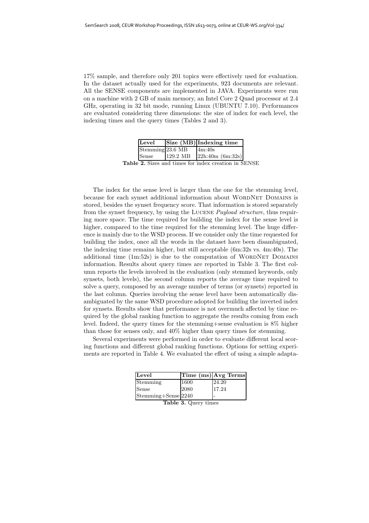17% sample, and therefore only 201 topics were effectively used for evaluation. In the dataset actually used for the experiments, 923 documents are relevant. All the SENSE components are implemented in JAVA. Experiments were run on a machine with 2 GB of main memory, an Intel Core 2 Quad processor at 2.4 GHz, operating in 32 bit mode, running Linux (UBUNTU 7.10). Performances are evaluated considering three dimensions: the size of index for each level, the indexing times and the query times (Tables 2 and 3).

| Level            |          | Size $(\overline{MB})$ Indexing time |
|------------------|----------|--------------------------------------|
| Stemming 23.6 MB |          | 4m:40s                               |
| Sense            | 129.2 MB | $22h:40m$ (6m:32s)                   |

**Table 2.** Sizes and times for index creation in SENSE

The index for the sense level is larger than the one for the stemming level, because for each synset additional information about WORDNET DOMAINS is stored, besides the synset frequency score. That information is stored separately from the synset frequency, by using the Lucene *Payload structure*, thus requiring more space. The time required for building the index for the sense level is higher, compared to the time required for the stemming level. The huge difference is mainly due to the WSD process. If we consider only the time requested for building the index, once all the words in the dataset have been disambiguated, the indexing time remains higher, but still acceptable (6m:32s vs. 4m:40s). The additional time  $(1m:52s)$  is due to the computation of WORDNET DOMAINS information. Results about query times are reported in Table 3. The first column reports the levels involved in the evaluation (only stemmed keywords, only synsets, both levels), the second column reports the average time required to solve a query, composed by an average number of terms (or synsets) reported in the last column. Queries involving the sense level have been automatically disambiguated by the same WSD procedure adopted for building the inverted index for synsets. Results show that performance is not overmuch affected by time required by the global ranking function to aggregate the results coming from each level. Indeed, the query times for the stemming+sense evaluation is 8% higher than those for senses only, and 40% higher than query times for stemming.

Several experiments were performed in order to evaluate different local scoring functions and different global ranking functions. Options for setting experiments are reported in Table 4. We evaluated the effect of using a simple adapta-

| Level               |      | Time (ms) Avg Terms |
|---------------------|------|---------------------|
| Stemming            | 1600 | 24.20               |
| Sense               | 2080 | 17.24               |
| Stemming+Sense 2240 |      |                     |

**Table 3.** Query times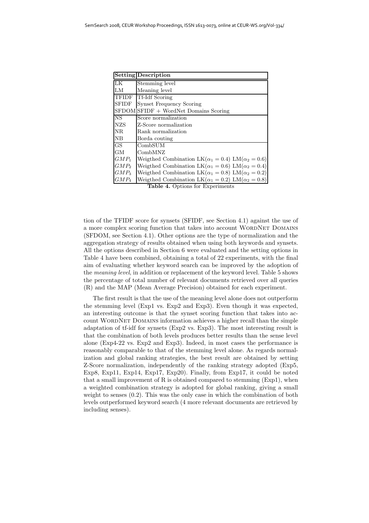|              | <b>Setting Description</b>                                         |
|--------------|--------------------------------------------------------------------|
| LK           | Stemming level                                                     |
| LM           | Meaning level                                                      |
| <b>TFIDF</b> | Tf-Idf Scoring                                                     |
| <b>SFIDF</b> | <b>Synset Frequency Scoring</b>                                    |
|              | SFDOM SFIDF + WordNet Domains Scoring                              |
| NS.          | Score normalization                                                |
| <b>NZS</b>   | Z-Score normalization                                              |
| NR.          | Rank normalization                                                 |
| NВ           | Borda couting                                                      |
| GS           | CombSUM                                                            |
| GМ           | CombMNZ                                                            |
| $GMP_1$      | Weigthed Combination LK( $\alpha_1 = 0.4$ ) LM( $\alpha_2 = 0.6$ ) |
| $GMP_2$      | Weigthed Combination LK( $\alpha_1 = 0.6$ ) LM( $\alpha_2 = 0.4$ ) |
| $GMP_3$      | Weigthed Combination LK( $\alpha_1 = 0.8$ ) LM( $\alpha_2 = 0.2$ ) |
| $GMP_4$      | Weigthed Combination LK( $\alpha_1 = 0.2$ ) LM( $\alpha_2 = 0.8$ ) |

**Table 4.** Options for Experiments

tion of the TFIDF score for synsets (SFIDF, see Section 4.1) against the use of a more complex scoring function that takes into account WORDNET DOMAINS (SFDOM, see Section 4.1). Other options are the type of normalization and the aggregation strategy of results obtained when using both keywords and synsets. All the options described in Section 6 were evaluated and the setting options in Table 4 have been combined, obtaining a total of 22 experiments, with the final aim of evaluating whether keyword search can be improved by the adoption of the *meaning level*, in addition or replacement of the keyword level. Table 5 shows the percentage of total number of relevant documents retrieved over all queries (R) and the MAP (Mean Average Precision) obtained for each experiment.

The first result is that the use of the meaning level alone does not outperform the stemming level (Exp1 vs. Exp2 and Exp3). Even though it was expected, an interesting outcome is that the synset scoring function that takes into account WordNet Domains information achieves a higher recall than the simple adaptation of tf-idf for synsets (Exp2 vs. Exp3). The most interesting result is that the combination of both levels produces better results than the sense level alone (Exp4-22 vs. Exp2 and Exp3). Indeed, in most cases the performance is reasonably comparable to that of the stemming level alone. As regards normalization and global ranking strategies, the best result are obtained by setting Z-Score normalization, independently of the ranking strategy adopted (Exp5, Exp8, Exp11, Exp14, Exp17, Exp20). Finally, from Exp17, it could be noted that a small improvement of R is obtained compared to stemming  $(Exp1)$ , when a weighted combination strategy is adopted for global ranking, giving a small weight to senses (0.2). This was the only case in which the combination of both levels outperformed keyword search (4 more relevant documents are retrieved by including senses).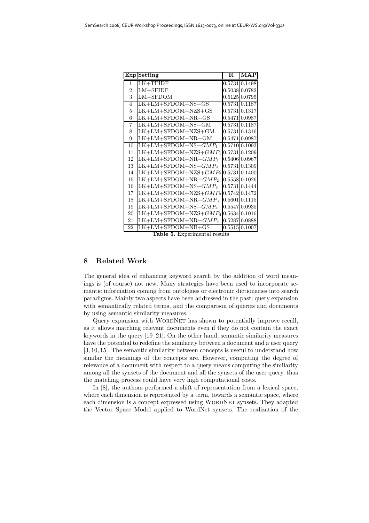|                | <b>Exp</b> Setting                                     | $\mathbf R$ | MAP           |
|----------------|--------------------------------------------------------|-------------|---------------|
| 1              | $LK+TFIDF$                                             |             | 0.5731 0.1498 |
| $\overline{2}$ | $LM+SFIDF$                                             |             | 0.5038 0.0782 |
| 3              | $LM+SFDOM$                                             |             | 0.5125 0.0795 |
| $\overline{4}$ | $LK+LM+SFDOM+NS+GS$                                    | 0.5731      | 0.1187        |
| 5              | $LK+LM+SFDOM+NZS+GS$                                   | 0.5731      | 0.1317        |
| 6              | $LK+LM+SFDOM+NR+GS$                                    |             | 0.5471 0.0987 |
| 7              | $LK+LM+SFDOM+NS+GM$                                    |             | 0.5731 0.1187 |
| 8              | LK+LM+SFDOM+NZS+GM                                     |             | 0.5731 0.1316 |
| 9              | $LK+LM+SFDOM+NR+GM$                                    | 0.5471      | 0.0987        |
| 10             | $LK+LM+SFDOM+NS+GMP_1$                                 |             | 0.5710 0.1093 |
| 11             | $LK+LM+SFDOM+NZS+GMP_1$                                |             | 0.5731 0.1209 |
| 12             | $LK+LM+SFDOM+NR+GMP_1$                                 |             | 0.5406 0.0967 |
| 13             | $LK+LM+SFDOM+NS+GMP_2$                                 |             | 0.5731 0.1309 |
| 14             | $LK+LM+SFDOM+NZS+GMP_2$                                |             | 0.5731 0.1400 |
| 15             | $LK+LM+SFDOM+NR+GMP_2$                                 |             | 0.5558 0.1026 |
| 16             | $LK+LM+SFDOM+NS+GMP_3$                                 |             | 0.5731 0.1444 |
| 17             | $LK+LM+SFDOM+NZS+GMP_3$                                |             | 0.5742 0.1472 |
| 18             | $LK+LM+SFDOM+NR+GMP_3$                                 |             | 0.5601 0.1115 |
| 19             | $LK+LM+SFDOM+NS+GMP_4$                                 |             | 0.5547 0.0935 |
| 20             | $LK+LM+SFDOM+NZS+GMP4$                                 |             | 0.5634 0.1016 |
| 21             | $LK+LM+SFDOM+NR+GMP_4$                                 |             | 0.5287 0.0888 |
| 22             | $LK+LM+SFDOM+NB+GS$<br>$\blacksquare$<br>-<br><i>.</i> |             | 0.5515 0.1007 |

**Table 5.** Experimental results

# **8 Related Work**

The general idea of enhancing keyword search by the addition of word meanings is (of course) not new. Many strategies have been used to incorporate semantic information coming from ontologies or electronic dictionaries into search paradigms. Mainly two aspects have been addressed in the past: query expansion with semantically related terms, and the comparison of queries and documents by using semantic similarity measures.

Query expansion with WORDNET has shown to potentially improve recall, as it allows matching relevant documents even if they do not contain the exact keywords in the query [19–21]. On the other hand, semantic similarity measures have the potential to redefine the similarity between a document and a user query [3, 10, 15]. The semantic similarity between concepts is useful to understand how similar the meanings of the concepts are. However, computing the degree of relevance of a document with respect to a query means computing the similarity among all the synsets of the document and all the synsets of the user query, thus the matching process could have very high computational costs.

In [8], the authors performed a shift of representation from a lexical space, where each dimension is represented by a term, towards a semantic space, where each dimension is a concept expressed using WORDNET synsets. They adapted the Vector Space Model applied to WordNet synsets. The realization of the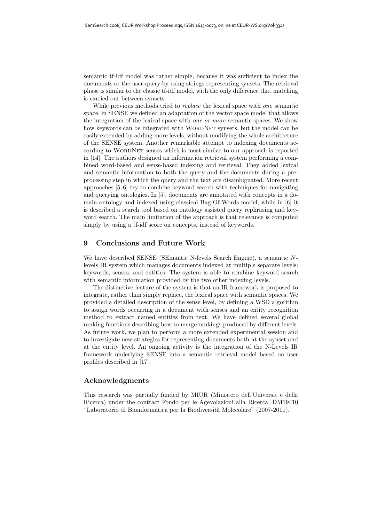semantic tf-idf model was rather simple, because it was sufficient to index the documents or the user-query by using strings representing synsets. The retrieval phase is similar to the classic tf-idf model, with the only difference that matching is carried out between synsets.

While previous methods tried to *replace* the lexical space with *one* semantic space, in SENSE we defined an adaptation of the vector space model that allows the integration of the lexical space with *one or more* semantic spaces. We show how keywords can be integrated with WORDNET synsets, but the model can be easily extended by adding more levels, without modifying the whole architecture of the SENSE system. Another remarkable attempt to indexing documents according to WORDNET senses which is most similar to our approach is reported in [14]. The authors designed an information retrieval system performing a combined word-based and sense-based indexing and retrieval. They added lexical and semantic information to both the query and the documents during a preprocessing step in which the query and the text are disambiguated. More recent approaches [5, 6] try to combine keyword search with techniques for navigating and querying ontologies. In [5], documents are annotated with concepts in a domain ontology and indexed using classical Bag-Of-Words model, while in [6] it is described a search tool based on ontology assisted query rephrasing and keyword search. The main limitation of the approach is that relevance is computed simply by using a tf-idf score on concepts, instead of keywords.

### **9 Conclusions and Future Work**

We have described SENSE (SEmantic N-levels Search Engine), a semantic Nlevels IR system which manages documents indexed at multiple separate levels: keywords, senses, and entities. The system is able to combine keyword search with semantic information provided by the two other indexing levels.

The distinctive feature of the system is that an IR framework is proposed to integrate, rather than simply replace, the lexical space with semantic spaces. We provided a detailed description of the sense level, by defining a WSD algorithm to assign words occurring in a document with senses and an entity recognition method to extract named entities from text. We have defined several global ranking functions describing how to merge rankings produced by different levels. As future work, we plan to perform a more extended experimental session and to investigate new strategies for representing documents both at the synset and at the entity level. An ongoing activity is the integration of the N-Levels IR framework underlying SENSE into a semantic retrieval model based on user profiles described in [17].

# **Acknowledgments**

This research was partially funded by MIUR (Ministero dell'Universit e della Ricerca) under the contract Fondo per le Agevolazioni alla Ricerca, DM19410 "Laboratorio di Bioinformatica per la Biodiversit`a Molecolare" (2007-2011).